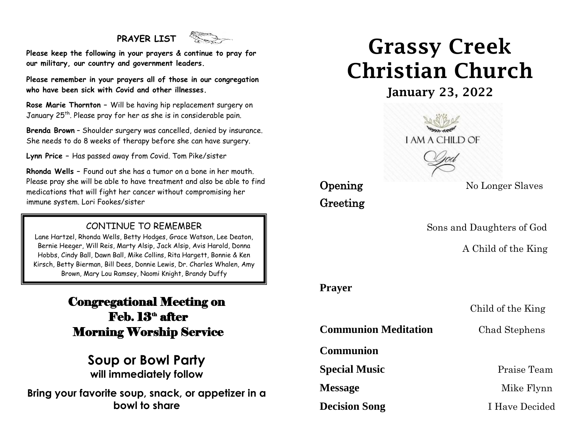# **PRAYER LIST**



**Please keep the following in your prayers & continue to pray for our military, our country and government leaders.**

**Please remember in your prayers all of those in our congregation who have been sick with Covid and other illnesses.**

**Rose Marie Thornton –** Will be having hip replacement surgery on January 25<sup>th</sup>. Please pray for her as she is in considerable pain.

**Brenda Brown** – Shoulder surgery was cancelled, denied by insurance. She needs to do 8 weeks of therapy before she can have surgery.

**Lynn Price –** Has passed away from Covid. Tom Pike/sister

**Rhonda Wells –** Found out she has a tumor on a bone in her mouth. Please pray she will be able to have treatment and also be able to find medications that will fight her cancer without compromising her immune system. Lori Fookes/sister

## CONTINUE TO REMEMBER

Bernie Heeger, Will Reis, Marty Alsip, Jack Alsip, Avis Harold, Donna Brown, Mary Lou Ramsey, Naomi Knight, Brandy DuffyLane Hartzel, Rhonda Wells, Betty Hodges, Grace Watson, Lee Deaton, Hobbs, Cindy Ball, Dawn Ball, Mike Collins, Rita Hargett, Bonnie & Ken Kirsch, Betty Bierman, Bill Dees, Donnie Lewis, Dr. Charles Whalen, Amy

# Congregational Meeting on Feb. 13<sup>th</sup> after Morning Worship Service

# **Soup or Bowl Party will immediately follow**

**Bring your favorite soup, snack, or appetizer in a bowl to share**

# Grassy Creek Christian Church

January 23, 2022



# Greeting

**Opening** No Longer Slaves

Sons and Daughters of God

A Child of the King

## **Prayer**

Child of the King

**Communion Meditation** Chad Stephens

**Communion** 

**Special Music** Praise Team

**Decision Song** I Have Decided

**Message** Mike Flynn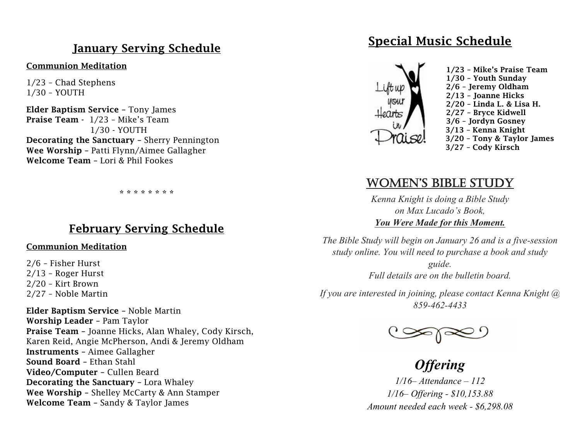# January Serving Schedule

#### Communion Meditation

1/23 – Chad Stephens 1/30 – YOUTH

Elder Baptism Service – Tony James Praise Team - 1/23 - Mike's Team 1/30 - YOUTH Decorating the Sanctuary – Sherry Pennington Wee Worship – Patti Flynn/Aimee Gallagher Welcome Team – Lori & Phil Fookes

\* \* \* \* \* \* \* \*

## February Serving Schedule

#### Communion Meditation

2/6 – Fisher Hurst 2/13 – Roger Hurst 2/20 – Kirt Brown 2/27 – Noble Martin

Elder Baptism Service – Noble Martin Worship Leader – Pam Taylor Praise Team – Joanne Hicks, Alan Whaley, Cody Kirsch, Karen Reid, Angie McPherson, Andi & Jeremy Oldham Instruments – Aimee Gallagher Sound Board – Ethan Stahl Video/Computer – Cullen Beard Decorating the Sanctuary – Lora Whaley Wee Worship – Shelley McCarty & Ann Stamper Welcome Team – Sandy & Taylor James

# Special Music Schedule



# women's bible study

*Kenna Knight is doing a Bible Study on Max Lucado's Book, You Were Made for this Moment.*

*The Bible Study will begin on January 26 and is a five-session study online. You will need to purchase a book and study guide. Full details are on the bulletin board.*

*If you are interested in joining, please contact Kenna Knight @ 859-462-4433*



*Offering 1/16– Attendance – 112 1/16– Offering - \$10,153.88 Amount needed each week - \$6,298.08*